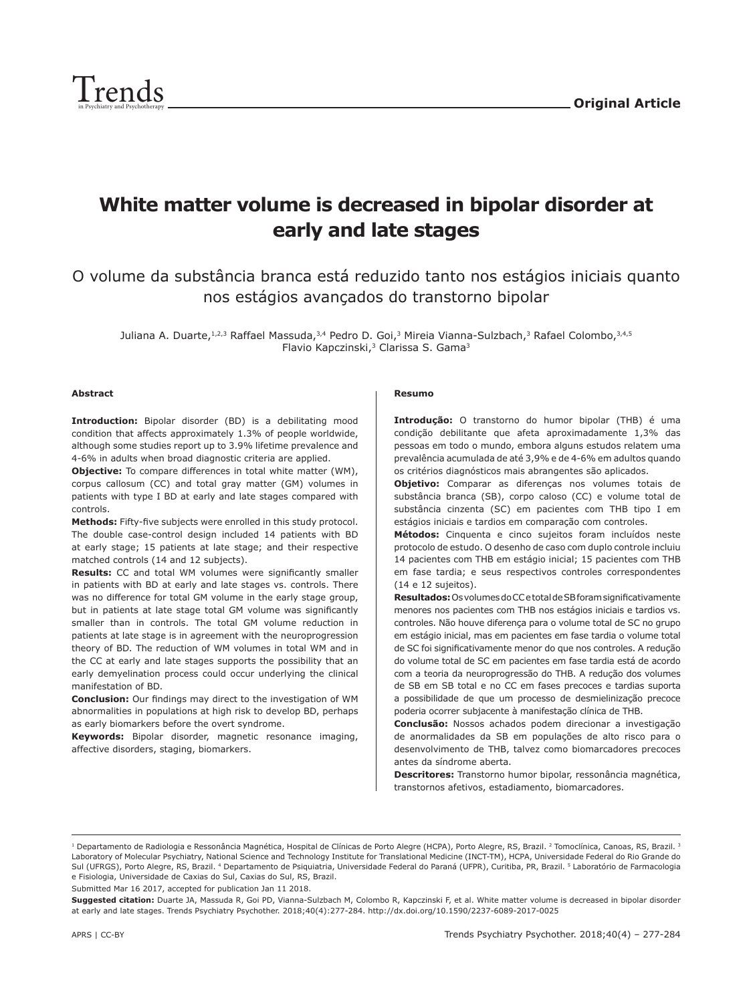

# **White matter volume is decreased in bipolar disorder at early and late stages**

O volume da substância branca está reduzido tanto nos estágios iniciais quanto nos estágios avançados do transtorno bipolar

Juliana A. Duarte, 1,2,3 Raffael Massuda, 3,4 Pedro D. Goi, 3 Mireia Vianna-Sulzbach, 3 Rafael Colombo, 3,4,5 Flavio Kapczinski,<sup>3</sup> Clarissa S. Gama<sup>3</sup>

#### **Abstract**

**Introduction:** Bipolar disorder (BD) is a debilitating mood condition that affects approximately 1.3% of people worldwide, although some studies report up to 3.9% lifetime prevalence and 4-6% in adults when broad diagnostic criteria are applied.

**Objective:** To compare differences in total white matter (WM), corpus callosum (CC) and total gray matter (GM) volumes in patients with type I BD at early and late stages compared with controls.

**Methods:** Fifty-five subjects were enrolled in this study protocol. The double case-control design included 14 patients with BD at early stage; 15 patients at late stage; and their respective matched controls (14 and 12 subjects).

**Results:** CC and total WM volumes were significantly smaller in patients with BD at early and late stages vs. controls. There was no difference for total GM volume in the early stage group, but in patients at late stage total GM volume was significantly smaller than in controls. The total GM volume reduction in patients at late stage is in agreement with the neuroprogression theory of BD. The reduction of WM volumes in total WM and in the CC at early and late stages supports the possibility that an early demyelination process could occur underlying the clinical manifestation of BD.

**Conclusion:** Our findings may direct to the investigation of WM abnormalities in populations at high risk to develop BD, perhaps as early biomarkers before the overt syndrome.

**Keywords:** Bipolar disorder, magnetic resonance imaging, affective disorders, staging, biomarkers.

#### **Resumo**

**Introdução:** O transtorno do humor bipolar (THB) é uma condição debilitante que afeta aproximadamente 1,3% das pessoas em todo o mundo, embora alguns estudos relatem uma prevalência acumulada de até 3,9% e de 4-6% em adultos quando os critérios diagnósticos mais abrangentes são aplicados.

**Objetivo:** Comparar as diferenças nos volumes totais de substância branca (SB), corpo caloso (CC) e volume total de substância cinzenta (SC) em pacientes com THB tipo I em estágios iniciais e tardios em comparação com controles.

**Métodos:** Cinquenta e cinco sujeitos foram incluídos neste protocolo de estudo. O desenho de caso com duplo controle incluiu 14 pacientes com THB em estágio inicial; 15 pacientes com THB em fase tardia; e seus respectivos controles correspondentes (14 e 12 sujeitos).

**Resultados:** Os volumes do CC e total de SB foram significativamente menores nos pacientes com THB nos estágios iniciais e tardios vs. controles. Não houve diferença para o volume total de SC no grupo em estágio inicial, mas em pacientes em fase tardia o volume total de SC foi significativamente menor do que nos controles. A redução do volume total de SC em pacientes em fase tardia está de acordo com a teoria da neuroprogressão do THB. A redução dos volumes de SB em SB total e no CC em fases precoces e tardias suporta a possibilidade de que um processo de desmielinização precoce poderia ocorrer subjacente à manifestação clínica de THB.

**Conclusão:** Nossos achados podem direcionar a investigação de anormalidades da SB em populações de alto risco para o desenvolvimento de THB, talvez como biomarcadores precoces antes da síndrome aberta.

**Descritores:** Transtorno humor bipolar, ressonância magnética, transtornos afetivos, estadiamento, biomarcadores.

Submitted Mar 16 2017, accepted for publication Jan 11 2018.

<sup>&</sup>lt;sup>1</sup> Departamento de Radiologia e Ressonância Magnética, Hospital de Clínicas de Porto Alegre (HCPA), Porto Alegre, RS, Brazil. <sup>2</sup> Tomoclínica, Canoas, RS, Brazil. <sup>3</sup> Laboratory of Molecular Psychiatry, National Science and Technology Institute for Translational Medicine (INCT-TM), HCPA, Universidade Federal do Rio Grande do Sul (UFRGS), Porto Alegre, RS, Brazil. 4 Departamento de Psiquiatria, Universidade Federal do Paraná (UFPR), Curitiba, PR, Brazil. 5 Laboratório de Farmacologia e Fisiologia, Universidade de Caxias do Sul, Caxias do Sul, RS, Brazil.

**Suggested citation:** Duarte JA, Massuda R, Goi PD, Vianna-Sulzbach M, Colombo R, Kapczinski F, et al. White matter volume is decreased in bipolar disorder at early and late stages. Trends Psychiatry Psychother. 2018;40(4):277-284. http://dx.doi.org/10.1590/2237-6089-2017-0025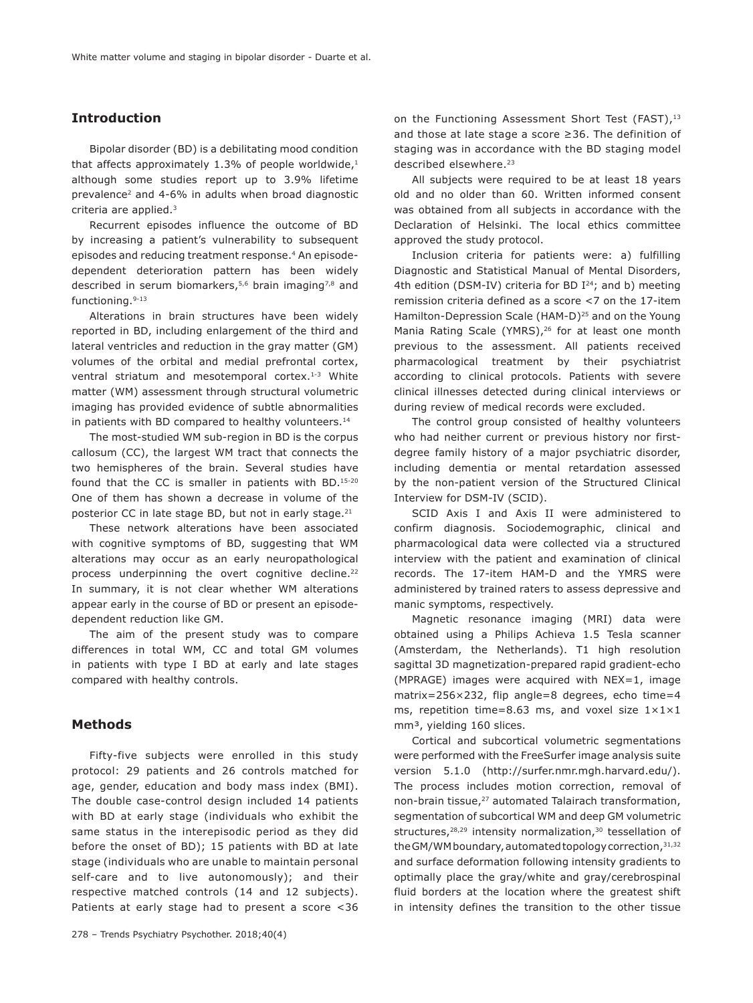# **Introduction**

Bipolar disorder (BD) is a debilitating mood condition that affects approximately 1.3% of people worldwide, $1$ although some studies report up to 3.9% lifetime prevalence2 and 4-6% in adults when broad diagnostic criteria are applied.3

Recurrent episodes influence the outcome of BD by increasing a patient's vulnerability to subsequent episodes and reducing treatment response.<sup>4</sup> An episodedependent deterioration pattern has been widely described in serum biomarkers,<sup>5,6</sup> brain imaging<sup>7,8</sup> and functioning.9-13

Alterations in brain structures have been widely reported in BD, including enlargement of the third and lateral ventricles and reduction in the gray matter (GM) volumes of the orbital and medial prefrontal cortex, ventral striatum and mesotemporal cortex.<sup>1-3</sup> White matter (WM) assessment through structural volumetric imaging has provided evidence of subtle abnormalities in patients with BD compared to healthy volunteers.<sup>14</sup>

The most-studied WM sub-region in BD is the corpus callosum (CC), the largest WM tract that connects the two hemispheres of the brain. Several studies have found that the CC is smaller in patients with BD.15-20 One of them has shown a decrease in volume of the posterior CC in late stage BD, but not in early stage.<sup>21</sup>

These network alterations have been associated with cognitive symptoms of BD, suggesting that WM alterations may occur as an early neuropathological process underpinning the overt cognitive decline.<sup>22</sup> In summary, it is not clear whether WM alterations appear early in the course of BD or present an episodedependent reduction like GM.

The aim of the present study was to compare differences in total WM, CC and total GM volumes in patients with type I BD at early and late stages compared with healthy controls.

## **Methods**

Fifty-five subjects were enrolled in this study protocol: 29 patients and 26 controls matched for age, gender, education and body mass index (BMI). The double case-control design included 14 patients with BD at early stage (individuals who exhibit the same status in the interepisodic period as they did before the onset of BD); 15 patients with BD at late stage (individuals who are unable to maintain personal self-care and to live autonomously); and their respective matched controls (14 and 12 subjects). Patients at early stage had to present a score <36 on the Functioning Assessment Short Test (FAST),<sup>13</sup> and those at late stage a score ≥36. The definition of staging was in accordance with the BD staging model described elsewhere.<sup>23</sup>

All subjects were required to be at least 18 years old and no older than 60. Written informed consent was obtained from all subjects in accordance with the Declaration of Helsinki. The local ethics committee approved the study protocol.

Inclusion criteria for patients were: a) fulfilling Diagnostic and Statistical Manual of Mental Disorders, 4th edition (DSM-IV) criteria for BD  $I^{24}$ ; and b) meeting remission criteria defined as a score <7 on the 17-item Hamilton-Depression Scale (HAM-D)<sup>25</sup> and on the Young Mania Rating Scale (YMRS),<sup>26</sup> for at least one month previous to the assessment. All patients received pharmacological treatment by their psychiatrist according to clinical protocols. Patients with severe clinical illnesses detected during clinical interviews or during review of medical records were excluded.

The control group consisted of healthy volunteers who had neither current or previous history nor firstdegree family history of a major psychiatric disorder, including dementia or mental retardation assessed by the non-patient version of the Structured Clinical Interview for DSM-IV (SCID).

SCID Axis I and Axis II were administered to confirm diagnosis. Sociodemographic, clinical and pharmacological data were collected via a structured interview with the patient and examination of clinical records. The 17-item HAM-D and the YMRS were administered by trained raters to assess depressive and manic symptoms, respectively.

Magnetic resonance imaging (MRI) data were obtained using a Philips Achieva 1.5 Tesla scanner (Amsterdam, the Netherlands). T1 high resolution sagittal 3D magnetization-prepared rapid gradient-echo (MPRAGE) images were acquired with NEX=1, image matrix=256×232, flip angle=8 degrees, echo time=4 ms, repetition time=8.63 ms, and voxel size  $1 \times 1 \times 1$ mm<sup>3</sup>, yielding 160 slices.

Cortical and subcortical volumetric segmentations were performed with the FreeSurfer image analysis suite version 5.1.0 (http://surfer.nmr.mgh.harvard.edu/). The process includes motion correction, removal of non-brain tissue,27 automated Talairach transformation, segmentation of subcortical WM and deep GM volumetric structures,<sup>28,29</sup> intensity normalization,<sup>30</sup> tessellation of the GM/WM boundary, automated topology correction, 31,32 and surface deformation following intensity gradients to optimally place the gray/white and gray/cerebrospinal fluid borders at the location where the greatest shift in intensity defines the transition to the other tissue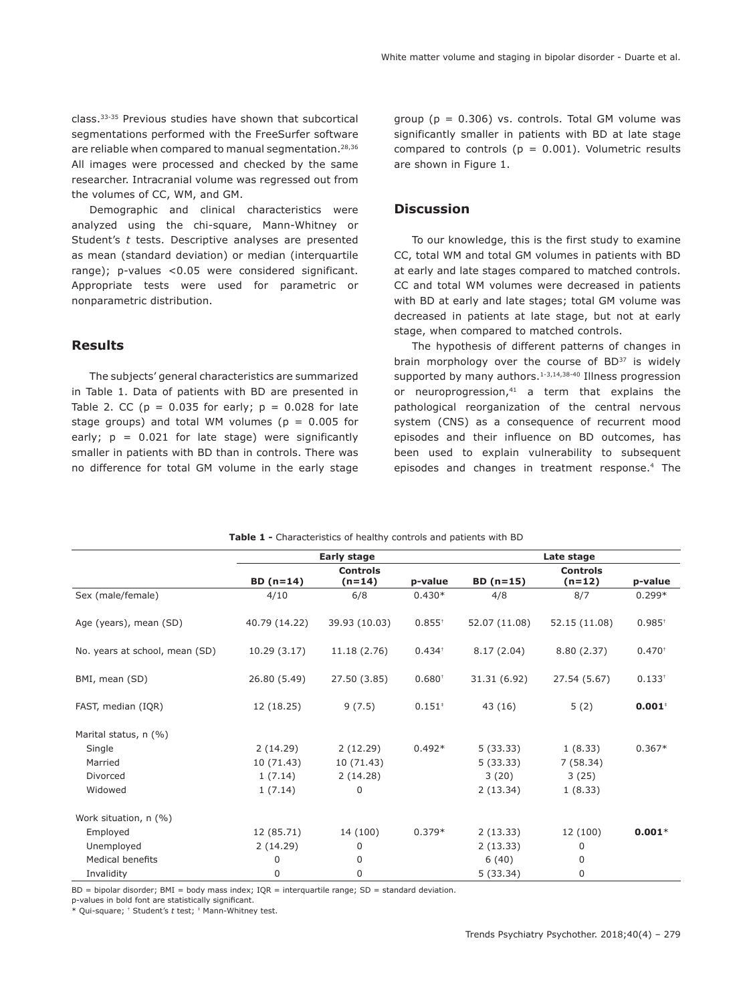class.33-35 Previous studies have shown that subcortical segmentations performed with the FreeSurfer software are reliable when compared to manual segmentation.<sup>28,36</sup> All images were processed and checked by the same researcher. Intracranial volume was regressed out from the volumes of CC, WM, and GM.

Demographic and clinical characteristics were analyzed using the chi-square, Mann-Whitney or Student's *t* tests. Descriptive analyses are presented as mean (standard deviation) or median (interquartile range); p-values <0.05 were considered significant. Appropriate tests were used for parametric or nonparametric distribution.

## **Results**

The subjects' general characteristics are summarized in Table 1. Data of patients with BD are presented in Table 2. CC ( $p = 0.035$  for early;  $p = 0.028$  for late stage groups) and total WM volumes ( $p = 0.005$  for early;  $p = 0.021$  for late stage) were significantly smaller in patients with BD than in controls. There was no difference for total GM volume in the early stage group ( $p = 0.306$ ) vs. controls. Total GM volume was significantly smaller in patients with BD at late stage compared to controls ( $p = 0.001$ ). Volumetric results are shown in Figure 1.

# **Discussion**

To our knowledge, this is the first study to examine CC, total WM and total GM volumes in patients with BD at early and late stages compared to matched controls. CC and total WM volumes were decreased in patients with BD at early and late stages; total GM volume was decreased in patients at late stage, but not at early stage, when compared to matched controls.

The hypothesis of different patterns of changes in brain morphology over the course of BD<sup>37</sup> is widely supported by many authors.<sup>1-3,14,38-40</sup> Illness progression or neuroprogression, $41$  a term that explains the pathological reorganization of the central nervous system (CNS) as a consequence of recurrent mood episodes and their influence on BD outcomes, has been used to explain vulnerability to subsequent episodes and changes in treatment response.4 The

|                                | Early stage   |                             |             | Late stage    |                             |             |
|--------------------------------|---------------|-----------------------------|-------------|---------------|-----------------------------|-------------|
|                                | $BD (n=14)$   | <b>Controls</b><br>$(n=14)$ | p-value     | BD $(n=15)$   | <b>Controls</b><br>$(n=12)$ | p-value     |
| Sex (male/female)              | 4/10          | 6/8                         | $0.430*$    | 4/8           | 8/7                         | $0.299*$    |
| Age (years), mean (SD)         | 40.79 (14.22) | 39.93 (10.03)               | $0.855^{+}$ | 52.07 (11.08) | 52.15 (11.08)               | $0.985^{+}$ |
| No. years at school, mean (SD) | 10.29(3.17)   | 11.18 (2.76)                | $0.434^{+}$ | 8.17(2.04)    | 8.80 (2.37)                 | $0.470^{+}$ |
| BMI, mean (SD)                 | 26.80 (5.49)  | 27.50 (3.85)                | $0.680^{+}$ | 31.31 (6.92)  | 27.54 (5.67)                | $0.133^{+}$ |
| FAST, median (IQR)             | 12 (18.25)    | 9(7.5)                      | $0.151*$    | 43 (16)       | 5(2)                        | $0.001*$    |
| Marital status, n (%)          |               |                             |             |               |                             |             |
| Single                         | 2(14.29)      | 2(12.29)                    | $0.492*$    | 5(33.33)      | 1(8.33)                     | $0.367*$    |
| Married                        | 10 (71.43)    | 10 (71.43)                  |             | 5(33.33)      | 7(58.34)                    |             |
| Divorced                       | 1(7.14)       | 2(14.28)                    |             | 3(20)         | 3(25)                       |             |
| Widowed                        | 1(7.14)       | 0                           |             | 2(13.34)      | 1(8.33)                     |             |
| Work situation, n (%)          |               |                             |             |               |                             |             |
| Employed                       | 12 (85.71)    | 14 (100)                    | $0.379*$    | 2(13.33)      | 12 (100)                    | $0.001*$    |
| Unemployed                     | 2(14.29)      | 0                           |             | 2(13.33)      | $\mathbf 0$                 |             |
| <b>Medical benefits</b>        | 0             | 0                           |             | 6(40)         | 0                           |             |
| Invalidity                     | 0             | 0                           |             | 5(33.34)      | 0                           |             |

**Table 1 -** Characteristics of healthy controls and patients with BD

 $BD =$  bipolar disorder; BMI = body mass index; IOR = interquartile range; SD = standard deviation.

p-values in bold font are statistically significant.

\* Qui-square; † Student's *t* test; ‡ Mann-Whitney test.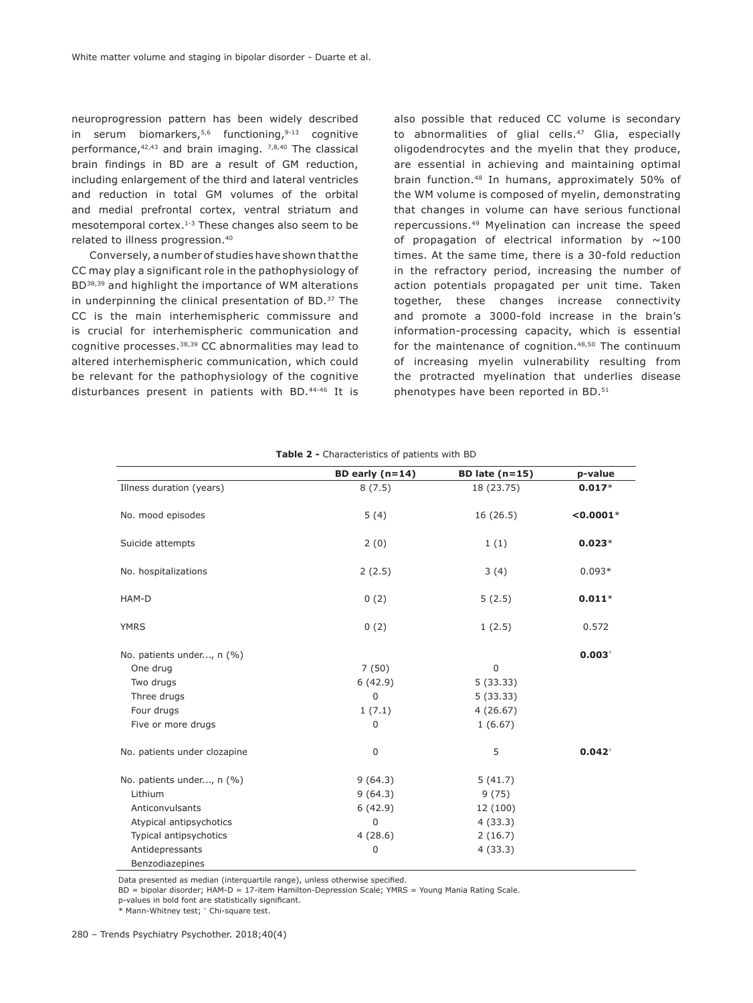neuroprogression pattern has been widely described in serum biomarkers,  $5,6$  functioning,  $9-13$  cognitive performance, $42,43$  and brain imaging.  $7,8,40$  The classical brain findings in BD are a result of GM reduction, including enlargement of the third and lateral ventricles and reduction in total GM volumes of the orbital and medial prefrontal cortex, ventral striatum and mesotemporal cortex.1-3 These changes also seem to be related to illness progression.40

Conversely, a number of studies have shown that the CC may play a significant role in the pathophysiology of BD38,39 and highlight the importance of WM alterations in underpinning the clinical presentation of BD.37 The CC is the main interhemispheric commissure and is crucial for interhemispheric communication and cognitive processes.38,39 CC abnormalities may lead to altered interhemispheric communication, which could be relevant for the pathophysiology of the cognitive disturbances present in patients with BD.44-46 It is

also possible that reduced CC volume is secondary to abnormalities of glial cells.<sup>47</sup> Glia, especially oligodendrocytes and the myelin that they produce, are essential in achieving and maintaining optimal brain function.48 In humans, approximately 50% of the WM volume is composed of myelin, demonstrating that changes in volume can have serious functional repercussions.49 Myelination can increase the speed of propagation of electrical information by  $\sim$ 100 times. At the same time, there is a 30-fold reduction in the refractory period, increasing the number of action potentials propagated per unit time. Taken together, these changes increase connectivity and promote a 3000-fold increase in the brain's information-processing capacity, which is essential for the maintenance of cognition.<sup>48,50</sup> The continuum of increasing myelin vulnerability resulting from the protracted myelination that underlies disease phenotypes have been reported in BD.<sup>51</sup>

|                              | BD early $(n=14)$ | BD late $(n=15)$ | p-value     |
|------------------------------|-------------------|------------------|-------------|
| Illness duration (years)     | 8(7.5)            | 18 (23.75)       | $0.017*$    |
| No. mood episodes            | 5(4)              | 16(26.5)         | $< 0.0001*$ |
| Suicide attempts             | 2(0)              | 1(1)             | $0.023*$    |
| No. hospitalizations         | 2(2.5)            | 3(4)             | $0.093*$    |
| HAM-D                        | 0(2)              | 5(2.5)           | $0.011*$    |
| <b>YMRS</b>                  | 0(2)              | 1(2.5)           | 0.572       |
| No. patients under, n (%)    |                   |                  | $0.003^{+}$ |
| One drug                     | 7(50)             | $\mathbf 0$      |             |
| Two drugs                    | 6(42.9)           | 5(33.33)         |             |
| Three drugs                  | $\mathbf 0$       | 5(33.33)         |             |
| Four drugs                   | 1(7.1)            | 4(26.67)         |             |
| Five or more drugs           | 0                 | 1(6.67)          |             |
| No. patients under clozapine | $\mathbf 0$       | 5                | $0.042^{+}$ |
| No. patients under, n (%)    | 9(64.3)           | 5(41.7)          |             |
| Lithium                      | 9(64.3)           | 9(75)            |             |
| Anticonvulsants              | 6(42.9)           | 12 (100)         |             |
| Atypical antipsychotics      | 0                 | 4(33.3)          |             |
| Typical antipsychotics       | 4(28.6)           | 2(16.7)          |             |
| Antidepressants              | 0                 | 4(33.3)          |             |
| Benzodiazepines              |                   |                  |             |

**Table 2 -** Characteristics of patients with BD

Data presented as median (interquartile range), unless otherwise specified.

BD = bipolar disorder; HAM-D = 17-item Hamilton-Depression Scale; YMRS = Young Mania Rating Scale.

p-values in bold font are statistically significant.

\* Mann-Whitney test; † Chi-square test.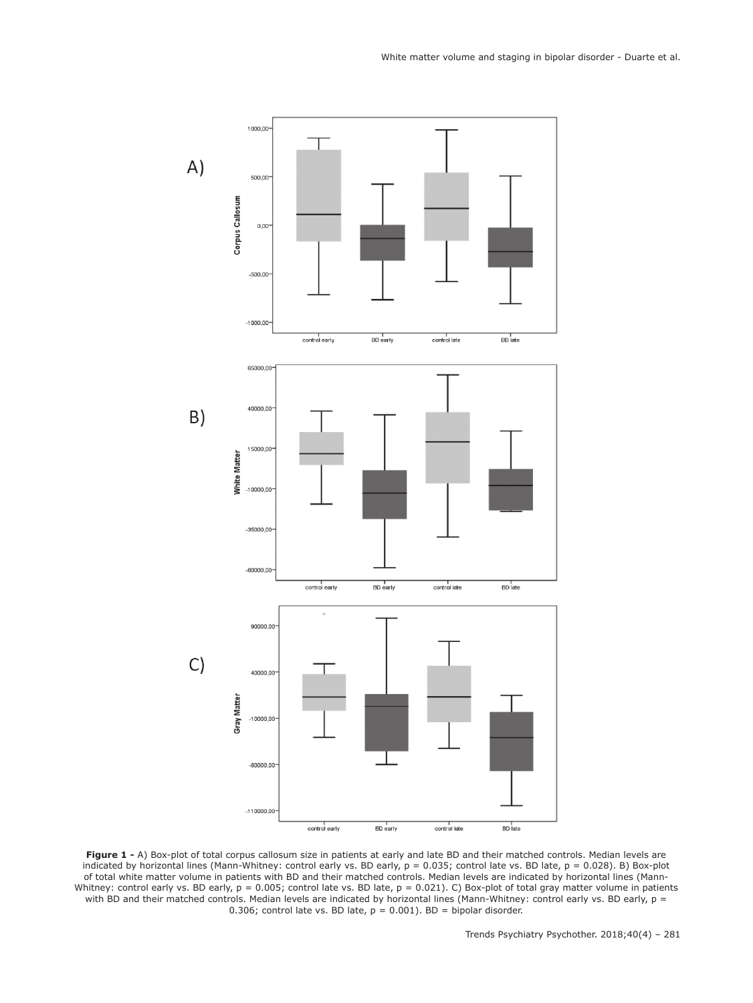

**Figure 1 -** A) Box-plot of total corpus callosum size in patients at early and late BD and their matched controls. Median levels are indicated by horizontal lines (Mann-Whitney: control early vs. BD early, p = 0.035; control late vs. BD late, p = 0.028). B) Box-plot of total white matter volume in patients with BD and their matched controls. Median levels are indicated by horizontal lines (Mann-Whitney: control early vs. BD early, p = 0.005; control late vs. BD late, p = 0.021). C) Box-plot of total gray matter volume in patients with BD and their matched controls. Median levels are indicated by horizontal lines (Mann-Whitney: control early vs. BD early,  $p =$ 0.306; control late vs. BD late,  $p = 0.001$ ). BD = bipolar disorder.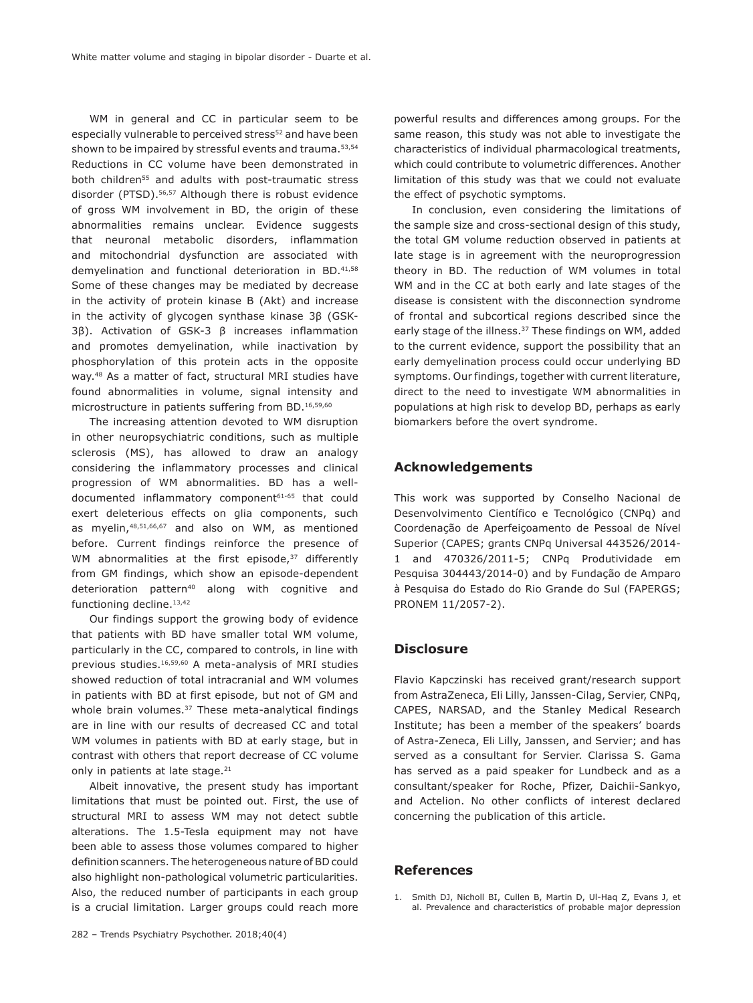WM in general and CC in particular seem to be especially vulnerable to perceived stress<sup>52</sup> and have been shown to be impaired by stressful events and trauma.<sup>53,54</sup> Reductions in CC volume have been demonstrated in both children<sup>55</sup> and adults with post-traumatic stress disorder (PTSD).56,57 Although there is robust evidence of gross WM involvement in BD, the origin of these abnormalities remains unclear. Evidence suggests that neuronal metabolic disorders, inflammation and mitochondrial dysfunction are associated with demyelination and functional deterioration in BD.<sup>41,58</sup> Some of these changes may be mediated by decrease in the activity of protein kinase B (Akt) and increase in the activity of glycogen synthase kinase 3β (GSK-3β). Activation of GSK-3 β increases inflammation and promotes demyelination, while inactivation by phosphorylation of this protein acts in the opposite way.48 As a matter of fact, structural MRI studies have found abnormalities in volume, signal intensity and microstructure in patients suffering from BD.16,59,60

The increasing attention devoted to WM disruption in other neuropsychiatric conditions, such as multiple sclerosis (MS), has allowed to draw an analogy considering the inflammatory processes and clinical progression of WM abnormalities. BD has a welldocumented inflammatory component<sup>61-65</sup> that could exert deleterious effects on glia components, such as myelin,48,51,66,67 and also on WM, as mentioned before. Current findings reinforce the presence of WM abnormalities at the first episode, $37$  differently from GM findings, which show an episode-dependent deterioration pattern<sup>40</sup> along with cognitive and functioning decline.<sup>13,42</sup>

Our findings support the growing body of evidence that patients with BD have smaller total WM volume, particularly in the CC, compared to controls, in line with previous studies.16,59,60 A meta-analysis of MRI studies showed reduction of total intracranial and WM volumes in patients with BD at first episode, but not of GM and whole brain volumes.<sup>37</sup> These meta-analytical findings are in line with our results of decreased CC and total WM volumes in patients with BD at early stage, but in contrast with others that report decrease of CC volume only in patients at late stage.<sup>21</sup>

Albeit innovative, the present study has important limitations that must be pointed out. First, the use of structural MRI to assess WM may not detect subtle alterations. The 1.5-Tesla equipment may not have been able to assess those volumes compared to higher definition scanners. The heterogeneous nature of BD could also highlight non-pathological volumetric particularities. Also, the reduced number of participants in each group is a crucial limitation. Larger groups could reach more powerful results and differences among groups. For the same reason, this study was not able to investigate the characteristics of individual pharmacological treatments, which could contribute to volumetric differences. Another limitation of this study was that we could not evaluate the effect of psychotic symptoms.

In conclusion, even considering the limitations of the sample size and cross-sectional design of this study, the total GM volume reduction observed in patients at late stage is in agreement with the neuroprogression theory in BD. The reduction of WM volumes in total WM and in the CC at both early and late stages of the disease is consistent with the disconnection syndrome of frontal and subcortical regions described since the early stage of the illness.<sup>37</sup> These findings on WM, added to the current evidence, support the possibility that an early demyelination process could occur underlying BD symptoms. Our findings, together with current literature, direct to the need to investigate WM abnormalities in populations at high risk to develop BD, perhaps as early biomarkers before the overt syndrome.

## **Acknowledgements**

This work was supported by Conselho Nacional de Desenvolvimento Científico e Tecnológico (CNPq) and Coordenação de Aperfeiçoamento de Pessoal de Nível Superior (CAPES; grants CNPq Universal 443526/2014- 1 and 470326/2011-5; CNPq Produtividade em Pesquisa 304443/2014-0) and by Fundação de Amparo à Pesquisa do Estado do Rio Grande do Sul (FAPERGS; PRONEM 11/2057-2).

## **Disclosure**

Flavio Kapczinski has received grant/research support from AstraZeneca, Eli Lilly, Janssen-Cilag, Servier, CNPq, CAPES, NARSAD, and the Stanley Medical Research Institute; has been a member of the speakers' boards of Astra-Zeneca, Eli Lilly, Janssen, and Servier; and has served as a consultant for Servier. Clarissa S. Gama has served as a paid speaker for Lundbeck and as a consultant/speaker for Roche, Pfizer, Daichii-Sankyo, and Actelion. No other conflicts of interest declared concerning the publication of this article.

# **References**

1. Smith DJ, Nicholl BI, Cullen B, Martin D, Ul-Haq Z, Evans J, et al. Prevalence and characteristics of probable major depression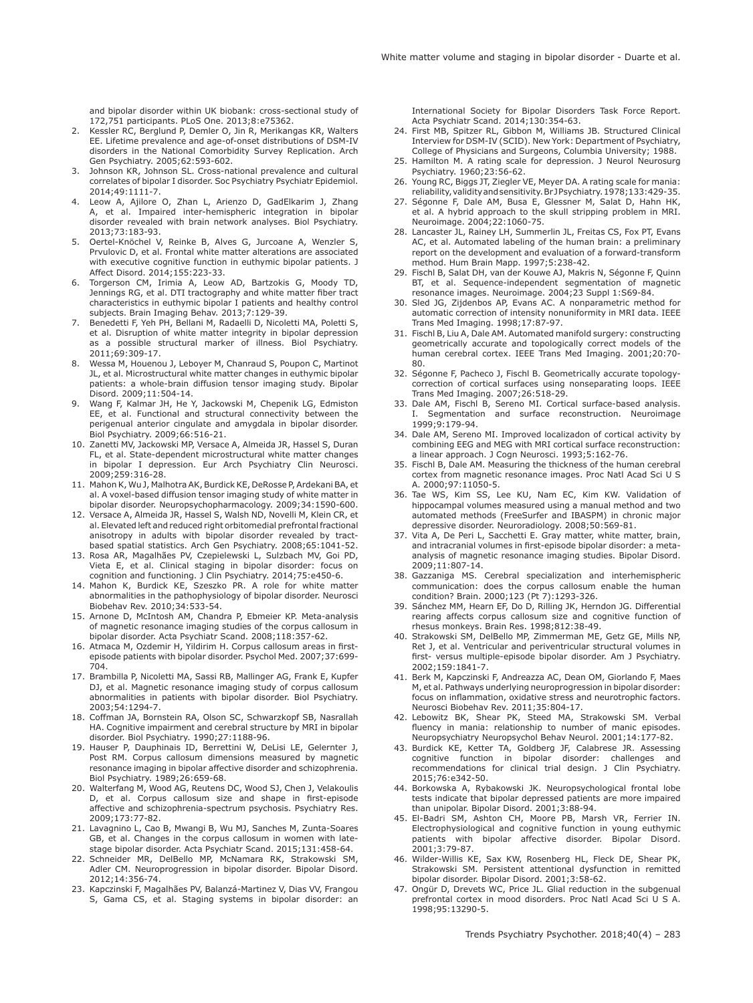and bipolar disorder within UK biobank: cross-sectional study of 172,751 participants. PLoS One. 2013;8:e75362.

- 2. Kessler RC, Berglund P, Demler O, Jin R, Merikangas KR, Walters EE. Lifetime prevalence and age-of-onset distributions of DSM-IV disorders in the National Comorbidity Survey Replication. Arch Gen Psychiatry. 2005;62:593-602.
- 3. Johnson KR, Johnson SL. Cross-national prevalence and cultural correlates of bipolar I disorder. Soc Psychiatry Psychiatr Epidemiol. 2014;49:1111-7.
- 4. Leow A, Ajilore O, Zhan L, Arienzo D, GadElkarim J, Zhang A, et al. Impaired inter-hemispheric integration in bipolar disorder revealed with brain network analyses. Biol Psychiatry. 2013;73:183-93.
- 5. Oertel-Knöchel V, Reinke B, Alves G, Jurcoane A, Wenzler S, Prvulovic D, et al. Frontal white matter alterations are associated with executive cognitive function in euthymic bipolar patients. J Affect Disord. 2014;155:223-33.
- 6. Torgerson CM, Irimia A, Leow AD, Bartzokis G, Moody TD, Jennings RG, et al. DTI tractography and white matter fiber tract characteristics in euthymic bipolar I patients and healthy control subjects. Brain Imaging Behav. 2013;7:129-39.
- 7. Benedetti F, Yeh PH, Bellani M, Radaelli D, Nicoletti MA, Poletti S, et al. Disruption of white matter integrity in bipolar depression as a possible structural marker of illness. Biol Psychiatry. 2011;69:309-17.
- 8. Wessa M, Houenou J, Leboyer M, Chanraud S, Poupon C, Martinot JL, et al. Microstructural white matter changes in euthymic bipolar patients: a whole-brain diffusion tensor imaging study. Bipolar Disord. 2009;11:504-14.
- Wang F, Kalmar JH, He Y, Jackowski M, Chepenik LG, Edmiston EE, et al. Functional and structural connectivity between the perigenual anterior cingulate and amygdala in bipolar disorder. Biol Psychiatry. 2009;66:516-21.
- 10. Zanetti MV, Jackowski MP, Versace A, Almeida JR, Hassel S, Duran FL, et al. State-dependent microstructural white matter changes in bipolar I depression. Eur Arch Psychiatry Clin Neurosci. 2009;259:316-28.
- 11. Mahon K, Wu J, Malhotra AK, Burdick KE, DeRosse P, Ardekani BA, et al. A voxel-based diffusion tensor imaging study of white matter in bipolar disorder. Neuropsychopharmacology. 2009;34:1590-600.
- 12. Versace A, Almeida JR, Hassel S, Walsh ND, Novelli M, Klein CR, et al. Elevated left and reduced right orbitomedial prefrontal fractional anisotropy in adults with bipolar disorder revealed by tractbased spatial statistics. Arch Gen Psychiatry. 2008;65:1041-52.
- 13. Rosa AR, Magalhães PV, Czepielewski L, Sulzbach MV, Goi PD, Vieta E, et al. Clinical staging in bipolar disorder: focus on cognition and functioning. J Clin Psychiatry. 2014;75:e450-6.
- 14. Mahon K, Burdick KE, Szeszko PR. A role for white matter abnormalities in the pathophysiology of bipolar disorder. Neurosci Biobehav Rev. 2010;34:533-54.
- 15. Arnone D, McIntosh AM, Chandra P, Ebmeier KP. Meta-analysis of magnetic resonance imaging studies of the corpus callosum in bipolar disorder. Acta Psychiatr Scand. 2008;118:357-62.
- 16. Atmaca M, Ozdemir H, Yildirim H. Corpus callosum areas in firstepisode patients with bipolar disorder. Psychol Med. 2007;37:699- 704.
- 17. Brambilla P, Nicoletti MA, Sassi RB, Mallinger AG, Frank E, Kupfer DJ, et al. Magnetic resonance imaging study of corpus callosum abnormalities in patients with bipolar disorder. Biol Psychiatry. 2003;54:1294-7.
- 18. Coffman JA, Bornstein RA, Olson SC, Schwarzkopf SB, Nasrallah HA. Cognitive impairment and cerebral structure by MRI in bipolar disorder. Biol Psychiatry. 1990;27:1188-96.
- 19. Hauser P, Dauphinais ID, Berrettini W, DeLisi LE, Gelernter J, Post RM. Corpus callosum dimensions measured by magnetic resonance imaging in bipolar affective disorder and schizophrenia. Biol Psychiatry. 1989;26:659-68.
- 20. Walterfang M, Wood AG, Reutens DC, Wood SJ, Chen J, Velakoulis D, et al. Corpus callosum size and shape in first-episode affective and schizophrenia-spectrum psychosis. Psychiatry Res. 2009;173:77-82.
- 21. Lavagnino L, Cao B, Mwangi B, Wu MJ, Sanches M, Zunta-Soares GB, et al. Changes in the corpus callosum in women with latestage bipolar disorder. Acta Psychiatr Scand. 2015;131:458-64.
- 22. Schneider MR, DelBello MP, McNamara RK, Strakowski SM, Adler CM. Neuroprogression in bipolar disorder. Bipolar Disord. 2012;14:356-74.
- 23. Kapczinski F, Magalhães PV, Balanzá-Martinez V, Dias VV, Frangou S, Gama CS, et al. Staging systems in bipolar disorder: an

International Society for Bipolar Disorders Task Force Report. Acta Psychiatr Scand. 2014;130:354-63.

- 24. First MB, Spitzer RL, Gibbon M, Williams JB. Structured Clinical Interview for DSM-IV (SCID). New York: Department of Psychiatry, College of Physicians and Surgeons, Columbia University; 1988.
- 25. Hamilton M. A rating scale for depression. J Neurol Neurosurg Psychiatry. 1960;23:56-62.
- 26. Young RC, Biggs JT, Ziegler VE, Meyer DA. A rating scale for mania: reliability, validity and sensitivity. Br J Psychiatry. 1978;133:429-35.
- 27. Ségonne F, Dale AM, Busa E, Glessner M, Salat D, Hahn HK, et al. A hybrid approach to the skull stripping problem in MRI. Neuroimage. 2004;22:1060-75.
- 28. Lancaster JL, Rainey LH, Summerlin JL, Freitas CS, Fox PT, Evans AC, et al. Automated labeling of the human brain: a preliminary report on the development and evaluation of a forward-transform method. Hum Brain Mapp. 1997;5:238-42.
- 29. Fischl B, Salat DH, van der Kouwe AJ, Makris N, Ségonne F, Quinn BT, et al. Sequence-independent segmentation of magnetic resonance images. Neuroimage. 2004;23 Suppl 1:S69-84.
- 30. Sled JG, Zijdenbos AP, Evans AC. A nonparametric method for automatic correction of intensity nonuniformity in MRI data. IEEE Trans Med Imaging. 1998;17:87-97.
- 31. Fischl B, Liu A, Dale AM. Automated manifold surgery: constructing geometrically accurate and topologically correct models of the human cerebral cortex. IEEE Trans Med Imaging. 2001;20:70- 80.
- 32. Ségonne F, Pacheco J, Fischl B. Geometrically accurate topologycorrection of cortical surfaces using nonseparating loops. IEEE Trans Med Imaging. 2007;26:518-29.
- 33. Dale AM, Fischl B, Sereno MI. Cortical surface-based analysis. Segmentation and surface reconstruction. Neuroimage 1999;9:179-94.
- 34. Dale AM, Sereno MI. Improved localizadon of cortical activity by combining EEG and MEG with MRI cortical surface reconstruction: a linear approach. J Cogn Neurosci. 1993;5:162-76.
- 35. Fischl B, Dale AM. Measuring the thickness of the human cerebral cortex from magnetic resonance images. Proc Natl Acad Sci U S A. 2000;97:11050-5.
- 36. Tae WS, Kim SS, Lee KU, Nam EC, Kim KW. Validation of hippocampal volumes measured using a manual method and two automated methods (FreeSurfer and IBASPM) in chronic major depressive disorder. Neuroradiology. 2008;50:569-81.
- 37. Vita A, De Peri L, Sacchetti E. Gray matter, white matter, brain, and intracranial volumes in first-episode bipolar disorder: a metaanalysis of magnetic resonance imaging studies. Bipolar Disord. 2009;11:807-14.
- 38. Gazzaniga MS. Cerebral specialization and interhemispheric communication: does the corpus callosum enable the human condition? Brain. 2000;123 (Pt 7):1293-326.
- 39. Sánchez MM, Hearn EF, Do D, Rilling JK, Herndon JG. Differential rearing affects corpus callosum size and cognitive function of rhesus monkeys. Brain Res. 1998;812:38-49.
- 40. Strakowski SM, DelBello MP, Zimmerman ME, Getz GE, Mills NP, Ret J, et al. Ventricular and periventricular structural volumes in first- versus multiple-episode bipolar disorder. Am J Psychiatry. 2002;159:1841-7.
- 41. Berk M, Kapczinski F, Andreazza AC, Dean OM, Giorlando F, Maes M, et al. Pathways underlying neuroprogression in bipolar disorder: focus on inflammation, oxidative stress and neurotrophic factors. Neurosci Biobehav Rev. 2011;35:804-17.
- 42. Lebowitz BK, Shear PK, Steed MA, Strakowski SM. Verbal fluency in mania: relationship to number of manic episodes. Neuropsychiatry Neuropsychol Behav Neurol. 2001;14:177-82.
- 43. Burdick KE, Ketter TA, Goldberg JF, Calabrese JR. Assessing cognitive function in bipolar disorder: challenges and recommendations for clinical trial design. J Clin Psychiatry. 2015;76:e342-50.
- 44. Borkowska A, Rybakowski JK. Neuropsychological frontal lobe tests indicate that bipolar depressed patients are more impaired than unipolar. Bipolar Disord. 2001;3:88-94.
- 45. El-Badri SM, Ashton CH, Moore PB, Marsh VR, Ferrier IN. Electrophysiological and cognitive function in young euthymic patients with bipolar affective disorder. Bipolar Disord. 2001;3:79-87.
- 46. Wilder-Willis KE, Sax KW, Rosenberg HL, Fleck DE, Shear PK, Strakowski SM. Persistent attentional dysfunction in remitted bipolar disorder. Bipolar Disord. 2001;3:58-62.
- 47. Ongür D, Drevets WC, Price JL. Glial reduction in the subgenual prefrontal cortex in mood disorders. Proc Natl Acad Sci U S A. 1998;95:13290-5.